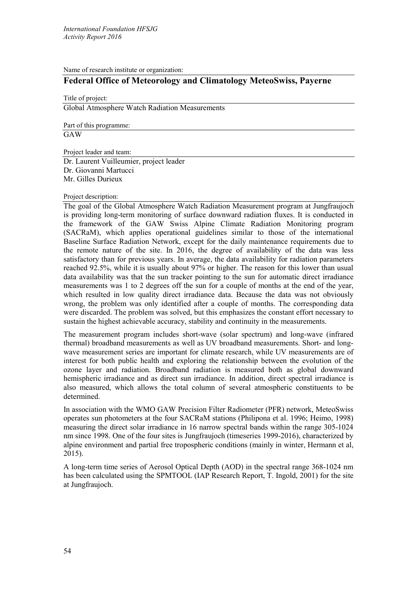Name of research institute or organization:

# **Federal Office of Meteorology and Climatology MeteoSwiss, Payerne**

Title of project:

Global Atmosphere Watch Radiation Measurements

Part of this programme:

GAW

Project leader and team:

Dr. Laurent Vuilleumier, project leader Dr. Giovanni Martucci Mr. Gilles Durieux

## Project description:

The goal of the Global Atmosphere Watch Radiation Measurement program at Jungfraujoch is providing long-term monitoring of surface downward radiation fluxes. It is conducted in the framework of the GAW Swiss Alpine Climate Radiation Monitoring program (SACRaM), which applies operational guidelines similar to those of the international Baseline Surface Radiation Network, except for the daily maintenance requirements due to the remote nature of the site. In 2016, the degree of availability of the data was less satisfactory than for previous years. In average, the data availability for radiation parameters reached 92.5%, while it is usually about 97% or higher. The reason for this lower than usual data availability was that the sun tracker pointing to the sun for automatic direct irradiance measurements was 1 to 2 degrees off the sun for a couple of months at the end of the year, which resulted in low quality direct irradiance data. Because the data was not obviously wrong, the problem was only identified after a couple of months. The corresponding data were discarded. The problem was solved, but this emphasizes the constant effort necessary to sustain the highest achievable accuracy, stability and continuity in the measurements.

The measurement program includes short-wave (solar spectrum) and long-wave (infrared thermal) broadband measurements as well as UV broadband measurements. Short- and longwave measurement series are important for climate research, while UV measurements are of interest for both public health and exploring the relationship between the evolution of the ozone layer and radiation. Broadband radiation is measured both as global downward hemispheric irradiance and as direct sun irradiance. In addition, direct spectral irradiance is also measured, which allows the total column of several atmospheric constituents to be determined.

In association with the WMO GAW Precision Filter Radiometer (PFR) network, MeteoSwiss operates sun photometers at the four SACRaM stations (Philipona et al. 1996; Heimo, 1998) measuring the direct solar irradiance in 16 narrow spectral bands within the range 305-1024 nm since 1998. One of the four sites is Jungfraujoch (timeseries 1999-2016), characterized by alpine environment and partial free tropospheric conditions (mainly in winter, Hermann et al, 2015).

A long-term time series of Aerosol Optical Depth (AOD) in the spectral range 368-1024 nm has been calculated using the SPMTOOL (IAP Research Report, T. Ingold, 2001) for the site at Jungfraujoch.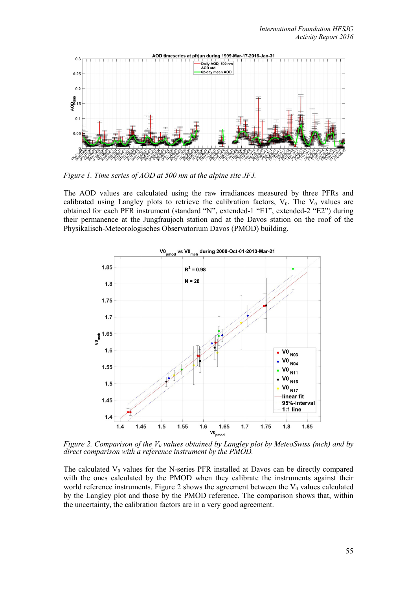

*Figure 1. Time series of AOD at 500 nm at the alpine site JFJ.*

The AOD values are calculated using the raw irradiances measured by three PFRs and calibrated using Langley plots to retrieve the calibration factors,  $V_0$ . The  $V_0$  values are obtained for each PFR instrument (standard "N", extended-1 "E1", extended-2 "E2") during their permanence at the Jungfraujoch station and at the Davos station on the roof of the Physikalisch-Meteorologisches Observatorium Davos (PMOD) building.



*Figure 2. Comparison of the V<sub>0</sub> values obtained by Langley plot by MeteoSwiss (mch) and by direct comparison with a reference instrument by the PMOD.*

The calculated  $V_0$  values for the N-series PFR installed at Davos can be directly compared with the ones calculated by the PMOD when they calibrate the instruments against their world reference instruments. Figure 2 shows the agreement between the  $V_0$  values calculated by the Langley plot and those by the PMOD reference. The comparison shows that, within the uncertainty, the calibration factors are in a very good agreement.